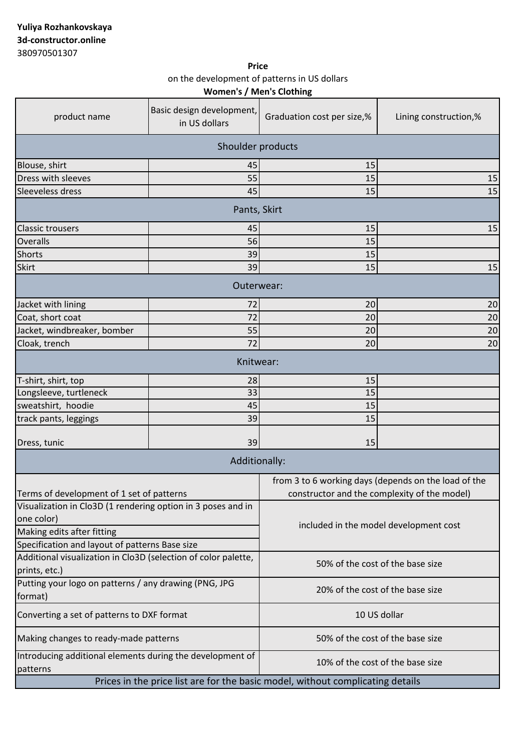**Women's / Men's Clothing Price** on the development of patterns in US dollars

| product name                                                                   | Basic design development,<br>in US dollars | Graduation cost per size,%                           | Lining construction,% |  |
|--------------------------------------------------------------------------------|--------------------------------------------|------------------------------------------------------|-----------------------|--|
| Shoulder products                                                              |                                            |                                                      |                       |  |
| Blouse, shirt                                                                  | 45                                         | 15                                                   |                       |  |
| Dress with sleeves                                                             | 55                                         | 15                                                   | 15                    |  |
| Sleeveless dress                                                               | 45                                         | 15                                                   | 15                    |  |
| Pants, Skirt                                                                   |                                            |                                                      |                       |  |
| <b>Classic trousers</b>                                                        | 45                                         | 15                                                   | 15                    |  |
| Overalls                                                                       | 56                                         | 15                                                   |                       |  |
| <b>Shorts</b>                                                                  | 39                                         | 15                                                   |                       |  |
| <b>Skirt</b>                                                                   | 39                                         | 15                                                   | 15                    |  |
| Outerwear:                                                                     |                                            |                                                      |                       |  |
| Jacket with lining                                                             | 72                                         | 20                                                   | 20                    |  |
| Coat, short coat                                                               | 72                                         | 20                                                   | 20                    |  |
| Jacket, windbreaker, bomber                                                    | 55                                         | 20                                                   | 20                    |  |
| Cloak, trench                                                                  | 72                                         | 20                                                   | 20                    |  |
| Knitwear:                                                                      |                                            |                                                      |                       |  |
| T-shirt, shirt, top                                                            | 28                                         | 15                                                   |                       |  |
| Longsleeve, turtleneck                                                         | 33                                         | 15                                                   |                       |  |
| sweatshirt, hoodie                                                             | 45                                         | 15                                                   |                       |  |
| track pants, leggings                                                          | 39                                         | 15                                                   |                       |  |
| Dress, tunic                                                                   | 39                                         | 15                                                   |                       |  |
| Additionally:                                                                  |                                            |                                                      |                       |  |
|                                                                                |                                            | from 3 to 6 working days (depends on the load of the |                       |  |
| Terms of development of 1 set of patterns                                      |                                            | constructor and the complexity of the model)         |                       |  |
| Visualization in Clo3D (1 rendering option in 3 poses and in                   |                                            | included in the model development cost               |                       |  |
| one color)                                                                     |                                            |                                                      |                       |  |
| Making edits after fitting                                                     |                                            |                                                      |                       |  |
| Specification and layout of patterns Base size                                 |                                            |                                                      |                       |  |
| Additional visualization in Clo3D (selection of color palette,                 |                                            |                                                      |                       |  |
| prints, etc.)                                                                  |                                            | 50% of the cost of the base size                     |                       |  |
| Putting your logo on patterns / any drawing (PNG, JPG                          |                                            | 20% of the cost of the base size                     |                       |  |
| format)                                                                        |                                            |                                                      |                       |  |
| Converting a set of patterns to DXF format                                     |                                            | 10 US dollar                                         |                       |  |
| Making changes to ready-made patterns                                          |                                            | 50% of the cost of the base size                     |                       |  |
| Introducing additional elements during the development of<br>patterns          |                                            | 10% of the cost of the base size                     |                       |  |
| Prices in the price list are for the basic model, without complicating details |                                            |                                                      |                       |  |